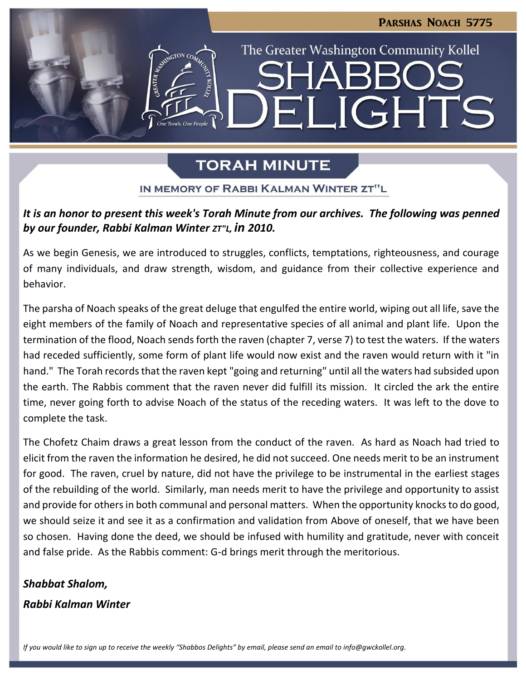

# **TORAH MINUTE**

### IN MEMORY OF RABBI KALMAN WINTER ZT"L

### *It is an honor to present this week's Torah Minute from our archives. The following was penned by our founder, Rabbi Kalman Winter ZT"L, in 2010.*

As we begin Genesis, we are introduced to struggles, conflicts, temptations, righteousness, and courage of many individuals, and draw strength, wisdom, and guidance from their collective experience and behavior.

The parsha of Noach speaks of the great deluge that engulfed the entire world, wiping out all life, save the eight members of the family of Noach and representative species of all animal and plant life. Upon the termination of the flood, Noach sends forth the raven (chapter 7, verse 7) to test the waters. If the waters had receded sufficiently, some form of plant life would now exist and the raven would return with it "in hand." The Torah records that the raven kept "going and returning" until all the waters had subsided upon the earth. The Rabbis comment that the raven never did fulfill its mission. It circled the ark the entire time, never going forth to advise Noach of the status of the receding waters. It was left to the dove to complete the task.

The Chofetz Chaim draws a great lesson from the conduct of the raven. As hard as Noach had tried to elicit from the raven the information he desired, he did not succeed. One needs merit to be an instrument for good. The raven, cruel by nature, did not have the privilege to be instrumental in the earliest stages of the rebuilding of the world. Similarly, man needs merit to have the privilege and opportunity to assist and provide for others in both communal and personal matters. When the opportunity knocks to do good, we should seize it and see it as a confirmation and validation from Above of oneself, that we have been so chosen. Having done the deed, we should be infused with humility and gratitude, never with conceit and false pride. As the Rabbis comment: G-d brings merit through the meritorious.

# *Shabbat Shalom,*

### *Rabbi Kalman Winter*

*If you would like to sign up to receive the weekly "Shabbos Delights" by email, please send an email to [info@gwckollel.org.](mailto:info@gwckollel.org)*